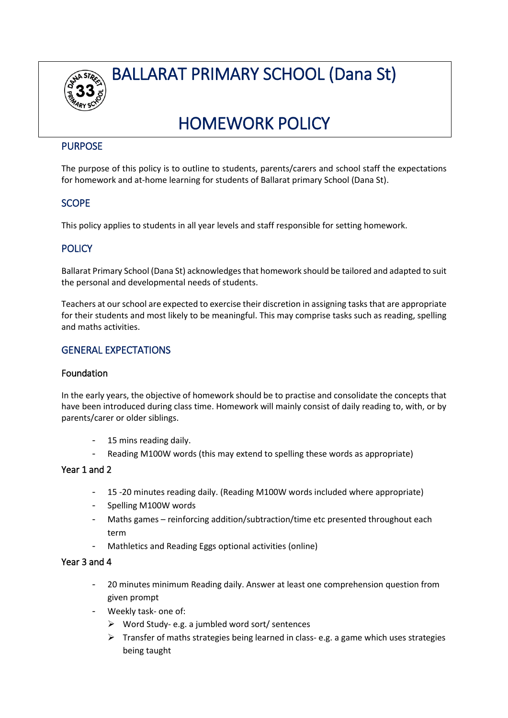

BALLARAT PRIMARY SCHOOL (Dana St)

# HOMEWORK POLICY

## PURPOSE

The purpose of this policy is to outline to students, parents/carers and school staff the expectations for homework and at-home learning for students of Ballarat primary School (Dana St).

# **SCOPE**

This policy applies to students in all year levels and staff responsible for setting homework.

## **POLICY**

Ballarat Primary School (Dana St) acknowledgesthat homework should be tailored and adapted to suit the personal and developmental needs of students.

Teachers at our school are expected to exercise their discretion in assigning tasks that are appropriate for their students and most likely to be meaningful. This may comprise tasks such as reading, spelling and maths activities.

## GENERAL EXPECTATIONS

## Foundation

In the early years, the objective of homework should be to practise and consolidate the concepts that have been introduced during class time. Homework will mainly consist of daily reading to, with, or by parents/carer or older siblings.

- 15 mins reading daily.
- Reading M100W words (this may extend to spelling these words as appropriate)

## Year 1 and 2

- 15 -20 minutes reading daily. (Reading M100W words included where appropriate)
- Spelling M100W words
- Maths games reinforcing addition/subtraction/time etc presented throughout each term
- Mathletics and Reading Eggs optional activities (online)

## Year 3 and 4

- 20 minutes minimum Reading daily. Answer at least one comprehension question from given prompt
- Weekly task- one of:
	- ➢ Word Study- e.g. a jumbled word sort/ sentences
	- $\triangleright$  Transfer of maths strategies being learned in class- e.g. a game which uses strategies being taught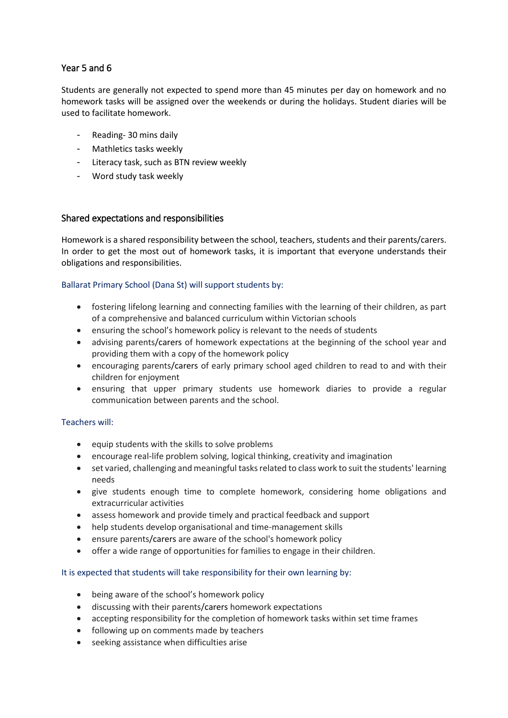# Year 5 and 6

Students are generally not expected to spend more than 45 minutes per day on homework and no homework tasks will be assigned over the weekends or during the holidays. Student diaries will be used to facilitate homework.

- Reading- 30 mins daily
- Mathletics tasks weekly
- Literacy task, such as BTN review weekly
- Word study task weekly

## Shared expectations and responsibilities

Homework is a shared responsibility between the school, teachers, students and their parents/carers. In order to get the most out of homework tasks, it is important that everyone understands their obligations and responsibilities.

#### Ballarat Primary School (Dana St) will support students by:

- fostering lifelong learning and connecting families with the learning of their children, as part of a comprehensive and balanced curriculum within Victorian schools
- ensuring the school's homework policy is relevant to the needs of students
- advising parents/carers of homework expectations at the beginning of the school year and providing them with a copy of the homework policy
- encouraging parents/carers of early primary school aged children to read to and with their children for enjoyment
- ensuring that upper primary students use homework diaries to provide a regular communication between parents and the school.

## Teachers will:

- equip students with the skills to solve problems
- encourage real-life problem solving, logical thinking, creativity and imagination
- set varied, challenging and meaningful tasks related to class work to suit the students' learning needs
- give students enough time to complete homework, considering home obligations and extracurricular activities
- assess homework and provide timely and practical feedback and support
- help students develop organisational and time-management skills
- ensure parents/carers are aware of the school's homework policy
- offer a wide range of opportunities for families to engage in their children.

#### It is expected that students will take responsibility for their own learning by:

- being aware of the school's homework policy
- discussing with their parents/carers homework expectations
- accepting responsibility for the completion of homework tasks within set time frames
- following up on comments made by teachers
- seeking assistance when difficulties arise